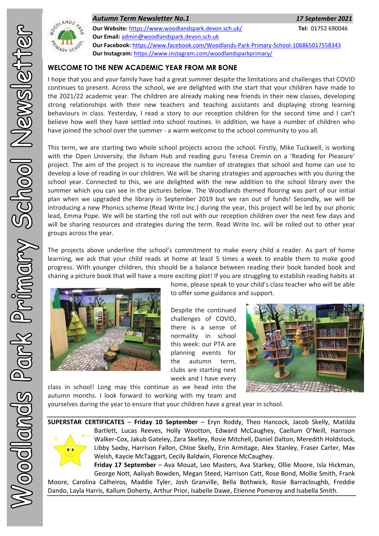

*Autumn Term Newsletter No.1 17 September 2021* **Our Website:** <https://www.woodlandspark.devon.sch.uk/> **Tel:** 01752 690046 **Our Email:** [admin@woodlandspark.devon.sch.uk](mailto:admin@woodlandspark.devon.sch.uk) **Our Facebook:** <https://www.facebook.com/Woodlands-Park-Primary-School-106865017558343> **Our Instagram:** <https://www.instagram.com/woodlandsparkprimary/>

# **WELCOME TO THE NEW ACADEMIC YEAR FROM MR BONE**

I hope that you and your family have had a great summer despite the limitations and challenges that COVID continues to present. Across the school, we are delighted with the start that your children have made to the 2021/22 academic year. The children are already making new friends in their new classes, developing strong relationships with their new teachers and teaching assistants and displaying strong learning behaviours in class. Yesterday, I read a story to our reception children for the second time and I can't believe how well they have settled into school routines. In addition, we have a number of children who have joined the school over the summer - a warm welcome to the school community to you all.

This term, we are starting two whole school projects across the school. Firstly, Mike Tuckwell, is working with the Open University, the Ilsham Hub and reading guru Teresa Cremin on a 'Reading for Pleasure' project. The aim of the project is to increase the number of strategies that school and home can use to develop a love of reading in our children. We will be sharing strategies and approaches with you during the school year. Connected to this, we are delighted with the new addition to the school library over the summer which you can see in the pictures below. The Woodlands themed flooring was part of our initial plan when we upgraded the library in September 2019 but we ran out of funds! Secondly, we will be introducing a new Phonics scheme (Read Write Inc.) during the year, this project will be led by our phonic lead, Emma Pope. We will be starting the roll out with our reception children over the next few days and will be sharing resources and strategies during the term. Read Write Inc. will be rolled out to other year groups across the year.

The projects above underline the school's commitment to make every child a reader. As part of home learning, we ask that your child reads at home at least 5 times a week to enable them to make good progress. With younger children, this should be a balance between reading their book banded book and sharing a picture book that will have a more exciting plot! If you are struggling to establish reading habits at



home, please speak to your child's class teacher who will be able to offer some guidance and support.

Despite the continued challenges of COVID, there is a sense of normality in school this week: our PTA are planning events for the autumn term, clubs are starting next week and I have every



class in school! Long may this continue as we head into the autumn months. I look forward to working with my team and

yourselves during the year to ensure that your children have a great year in school.

**SUPERSTAR CERTIFICATES** – **Friday 10 September** – Eryn Roddy, Theo Hancock, Jacob Skelly, Matilda Bartlett, Lucas Reeves, Holly Wootton, Edward McCaughey, Caellum O'Neill, Harrison Walker-Cox, Jakub Gateley, Zara Skelley, Rosie Mitchell, Daniel Dalton, Meredith Holdstock, Libby Saxby, Harrison Fallon, Chloe Skelly, Erin Armitage, Alex Stanley, Fraser Carter, Max Welsh, Kaycie McTaggart, Cecily Baldwin, Florence McCaughey.

**Friday 17 September** – Ava Mouat, Leo Masters, Ava Starkey, Ollie Moore, Isla Hickman, George Nott, Aaliyah Bowden, Megan Steed, Harrison Catt, Rose Bond, Mollie Smith, Frank Moore, Carolina Calheiros, Maddie Tyler, Josh Granville, Bella Bothwick, Rosie Barracloughb, Freddie Dando, Layla Harris, Kallum Doherty, Arthur Prior, Isabelle Dawe, Etienne Pomeroy and Isabella Smith.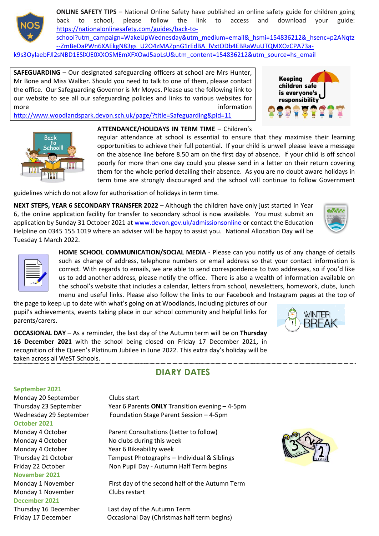

**ONLINE SAFETY TIPS** – National Online Safety have published an online safety guide for children going back to school, please follow the link to access and download your guide: [https://nationalonlinesafety.com/guides/back-to-](https://nationalonlinesafety.com/guides/back-to-school?utm_campaign=WakeUpWednesday&utm_medium=email&_hsmi=154836212&_hsenc=p2ANqtz--ZmBeDaPWn6XAEkgN83gs_U2O4zMAZpnG1rEdBA_lVxtODb4EBRaWuUTQMXOzCPA73a-k9s3OylaebFJl2sNBD1ESlXJE0XXOSMEmXFXOwJ5aoLsU&utm_content=154836212&utm_source=hs_email)

[school?utm\\_campaign=WakeUpWednesday&utm\\_medium=email&\\_hsmi=154836212&\\_hsenc=p2ANqtz](https://nationalonlinesafety.com/guides/back-to-school?utm_campaign=WakeUpWednesday&utm_medium=email&_hsmi=154836212&_hsenc=p2ANqtz--ZmBeDaPWn6XAEkgN83gs_U2O4zMAZpnG1rEdBA_lVxtODb4EBRaWuUTQMXOzCPA73a-k9s3OylaebFJl2sNBD1ESlXJE0XXOSMEmXFXOwJ5aoLsU&utm_content=154836212&utm_source=hs_email) [--ZmBeDaPWn6XAEkgN83gs\\_U2O4zMAZpnG1rEdBA\\_lVxtODb4EBRaWuUTQMXOzCPA73a](https://nationalonlinesafety.com/guides/back-to-school?utm_campaign=WakeUpWednesday&utm_medium=email&_hsmi=154836212&_hsenc=p2ANqtz--ZmBeDaPWn6XAEkgN83gs_U2O4zMAZpnG1rEdBA_lVxtODb4EBRaWuUTQMXOzCPA73a-k9s3OylaebFJl2sNBD1ESlXJE0XXOSMEmXFXOwJ5aoLsU&utm_content=154836212&utm_source=hs_email)[k9s3OylaebFJl2sNBD1ESlXJE0XXOSMEmXFXOwJ5aoLsU&utm\\_content=154836212&utm\\_source=hs\\_email](https://nationalonlinesafety.com/guides/back-to-school?utm_campaign=WakeUpWednesday&utm_medium=email&_hsmi=154836212&_hsenc=p2ANqtz--ZmBeDaPWn6XAEkgN83gs_U2O4zMAZpnG1rEdBA_lVxtODb4EBRaWuUTQMXOzCPA73a-k9s3OylaebFJl2sNBD1ESlXJE0XXOSMEmXFXOwJ5aoLsU&utm_content=154836212&utm_source=hs_email)

**SAFEGUARDING** – Our designated safeguarding officers at school are Mrs Hunter, Mr Bone and Miss Walker. Should you need to talk to one of them, please contact the office. Our Safeguarding Governor is Mr Moyes. Please use the following link to our website to see all our safeguarding policies and links to various websites for more information and the contract of the contract of the contract of the contract of the contract of the contract of the contract of the contract of the contract of the contract of the contract of the contract of the contr



<http://www.woodlandspark.devon.sch.uk/page/?title=Safeguarding&pid=11>



## **ATTENDANCE/HOLIDAYS IN TERM TIME** – Children's

regular attendance at school is essential to ensure that they maximise their learning opportunities to achieve their full potential. If your child is unwell please leave a message on the absence line before 8.50 am on the first day of absence. If your child is off school poorly for more than one day could you please send in a letter on their return covering them for the whole period detailing their absence. As you are no doubt aware holidays in term time are strongly discouraged and the school will continue to follow Government

guidelines which do not allow for authorisation of holidays in term time.

**NEXT STEPS, YEAR 6 SECONDARY TRANSFER 2022** – Although the children have only just started in Year 6, the online application facility for transfer to secondary school is now available. You must submit an application by Sunday 31 October 2021 a[t www.devon.gov.uk/admissionsonline](http://www.devon.gov.uk/admissionsonline) or contact the Education Helpline on 0345 155 1019 where an adviser will be happy to assist you. National Allocation Day will be Tuesday 1 March 2022.





**HOME SCHOOL COMMUNICATION/SOCIAL MEDIA** - Please can you notify us of any change of details such as change of address, telephone numbers or email address so that your contact information is correct. With regards to emails, we are able to send correspondence to two addresses, so if you'd like us to add another address, please notify the office. There is also a wealth of information available on the school's website that includes a calendar, letters from school, newsletters, homework, clubs, lunch menu and useful links. Please also follow the links to our Facebook and Instagram pages at the top of

the page to keep up to date with what's going on at Woodlands, including pictures of our pupil's achievements, events taking place in our school community and helpful links for parents/carers.

**OCCASIONAL DAY** – As a reminder, the last day of the Autumn term will be on **Thursday 16 December 2021** with the school being closed on Friday 17 December 2021**,** in recognition of the Queen's Platinum Jubilee in June 2022. This extra day's holiday will be taken across all WeST Schools.

### **September 2021**

Monday 20 September Clubs start **October 2021** Monday 4 October No clubs during this week Monday 4 October Year 6 Bikeability week **November 2021** Monday 1 November Clubs restart **December 2021**

Thursday 23 September Year 6 Parents **ONLY** Transition evening – 4-5pm Wednesday 29 September Foundation Stage Parent Session – 4-5pm

**DIARY DATES**

Monday 4 October Parent Consultations (Letter to follow) Thursday 21 October Tempest Photographs – Individual & Siblings Friday 22 October Non Pupil Day - Autumn Half Term begins

Monday 1 November First day of the second half of the Autumn Term

Thursday 16 December Last day of the Autumn Term Friday 17 December Occasional Day (Christmas half term begins)